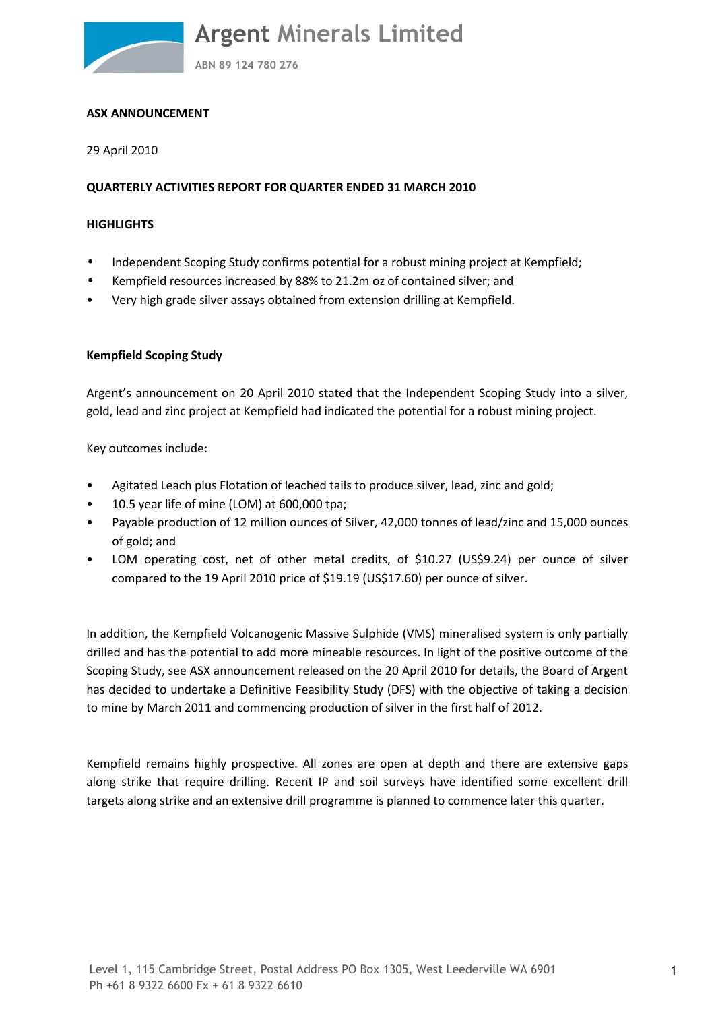**ABN 89 124 780 276**

#### **ASX ANNOUNCEMENT**

29 April 2010

#### **QUARTERLY ACTIVITIES REPORT FOR QUARTER ENDED 31 MARCH 2010**

#### **HIGHLIGHTS**

- Independent Scoping Study confirms potential for a robust mining project at Kempfield;
- Kempfield resources increased by 88% to 21.2m oz of contained silver; and
- Very high grade silver assays obtained from extension drilling at Kempfield.

#### **Kempfield Scoping Study**

Argent's announcement on 20 April 2010 stated that the Independent Scoping Study into a silver, gold, lead and zinc project at Kempfield had indicated the potential for a robust mining project.

Key outcomes include:

- Agitated Leach plus Flotation of leached tails to produce silver, lead, zinc and gold;
- 10.5 year life of mine (LOM) at 600,000 tpa;
- Payable production of 12 million ounces of Silver, 42,000 tonnes of lead/zinc and 15,000 ounces of gold; and
- LOM operating cost, net of other metal credits, of \$10.27 (US\$9.24) per ounce of silver compared to the 19 April 2010 price of \$19.19 (US\$17.60) per ounce of silver.

In addition, the Kempfield Volcanogenic Massive Sulphide (VMS) mineralised system is only partially drilled and has the potential to add more mineable resources. In light of the positive outcome of the Scoping Study, see ASX announcement released on the 20 April 2010 for details, the Board of Argent has decided to undertake a Definitive Feasibility Study (DFS) with the objective of taking a decision to mine by March 2011 and commencing production of silver in the first half of 2012.

Kempfield remains highly prospective. All zones are open at depth and there are extensive gaps along strike that require drilling. Recent IP and soil surveys have identified some excellent drill targets along strike and an extensive drill programme is planned to commence later this quarter.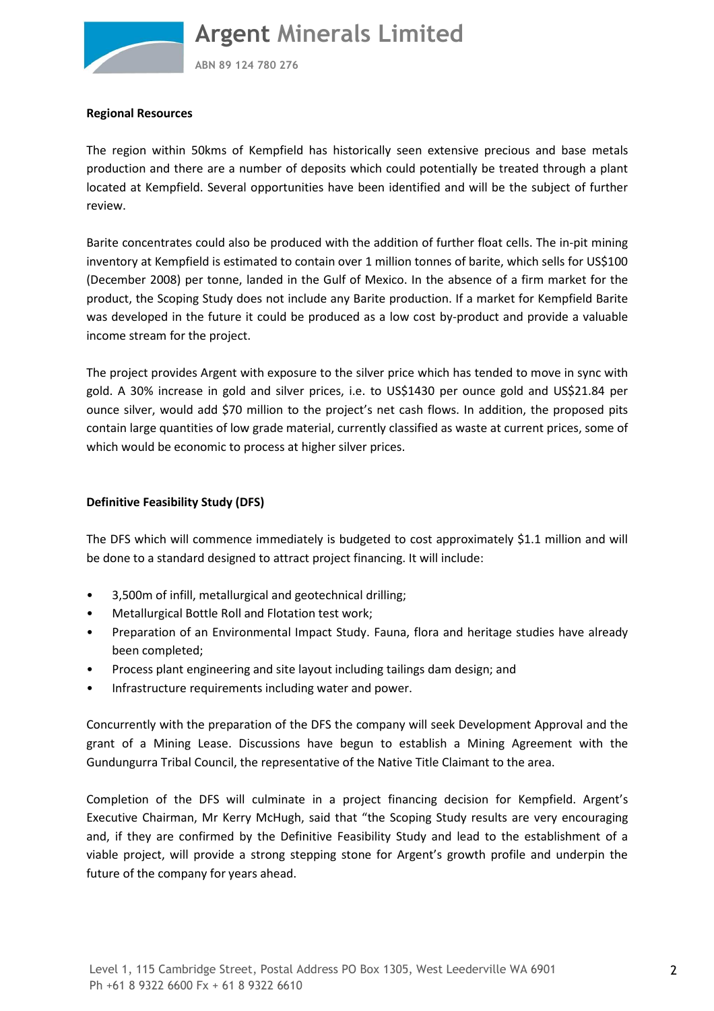

**ABN 89 124 780 276**

#### **Regional Resources**

The region within 50kms of Kempfield has historically seen extensive precious and base metals production and there are a number of deposits which could potentially be treated through a plant located at Kempfield. Several opportunities have been identified and will be the subject of further review.

Barite concentrates could also be produced with the addition of further float cells. The in-pit mining inventory at Kempfield is estimated to contain over 1 million tonnes of barite, which sells for US\$100 (December 2008) per tonne, landed in the Gulf of Mexico. In the absence of a firm market for the product, the Scoping Study does not include any Barite production. If a market for Kempfield Barite was developed in the future it could be produced as a low cost by-product and provide a valuable income stream for the project.

The project provides Argent with exposure to the silver price which has tended to move in sync with gold. A 30% increase in gold and silver prices, i.e. to US\$1430 per ounce gold and US\$21.84 per ounce silver, would add \$70 million to the project's net cash flows. In addition, the proposed pits contain large quantities of low grade material, currently classified as waste at current prices, some of which would be economic to process at higher silver prices.

#### **Definitive Feasibility Study (DFS)**

The DFS which will commence immediately is budgeted to cost approximately \$1.1 million and will be done to a standard designed to attract project financing. It will include:

- 3,500m of infill, metallurgical and geotechnical drilling;
- Metallurgical Bottle Roll and Flotation test work;
- Preparation of an Environmental Impact Study. Fauna, flora and heritage studies have already been completed;
- Process plant engineering and site layout including tailings dam design; and
- Infrastructure requirements including water and power.

Concurrently with the preparation of the DFS the company will seek Development Approval and the grant of a Mining Lease. Discussions have begun to establish a Mining Agreement with the Gundungurra Tribal Council, the representative of the Native Title Claimant to the area.

Completion of the DFS will culminate in a project financing decision for Kempfield. Argent's Executive Chairman, Mr Kerry McHugh, said that "the Scoping Study results are very encouraging and, if they are confirmed by the Definitive Feasibility Study and lead to the establishment of a viable project, will provide a strong stepping stone for Argent's growth profile and underpin the future of the company for years ahead.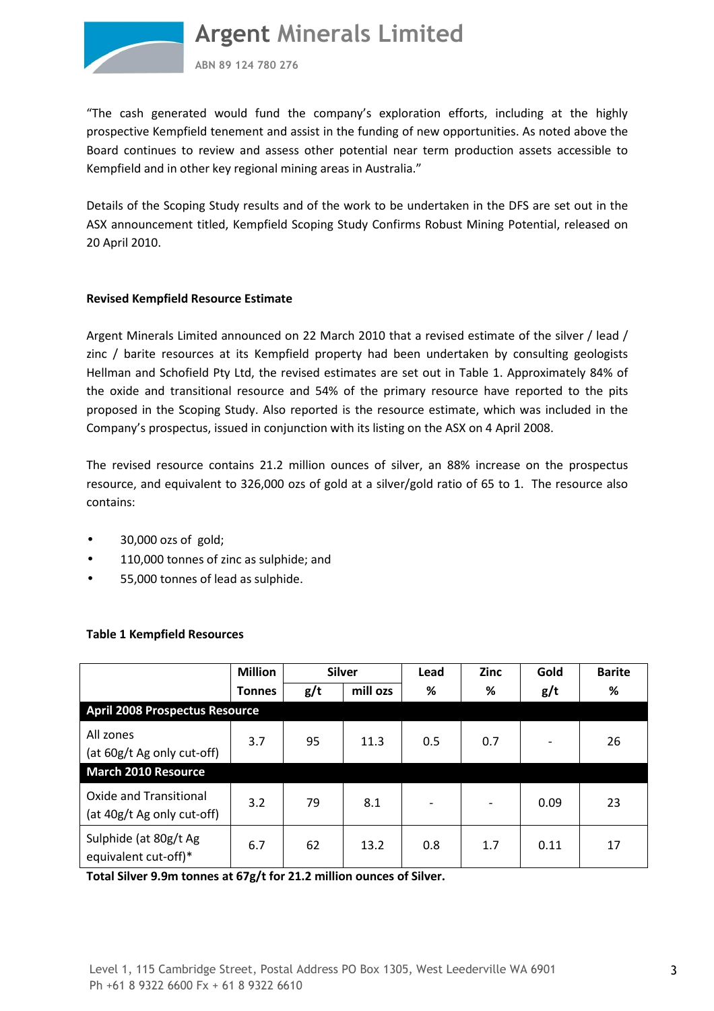

**ABN 89 124 780 276**

"The cash generated would fund the company's exploration efforts, including at the highly prospective Kempfield tenement and assist in the funding of new opportunities. As noted above the Board continues to review and assess other potential near term production assets accessible to Kempfield and in other key regional mining areas in Australia."

Details of the Scoping Study results and of the work to be undertaken in the DFS are set out in the ASX announcement titled, Kempfield Scoping Study Confirms Robust Mining Potential, released on 20 April 2010.

#### **Revised Kempfield Resource Estimate**

Argent Minerals Limited announced on 22 March 2010 that a revised estimate of the silver / lead / zinc / barite resources at its Kempfield property had been undertaken by consulting geologists Hellman and Schofield Pty Ltd, the revised estimates are set out in Table 1. Approximately 84% of the oxide and transitional resource and 54% of the primary resource have reported to the pits proposed in the Scoping Study. Also reported is the resource estimate, which was included in the Company's prospectus, issued in conjunction with its listing on the ASX on 4 April 2008.

The revised resource contains 21.2 million ounces of silver, an 88% increase on the prospectus resource, and equivalent to 326,000 ozs of gold at a silver/gold ratio of 65 to 1. The resource also contains:

- 30,000 ozs of gold;
- 110,000 tonnes of zinc as sulphide; and
- 55,000 tonnes of lead as sulphide.

|                                                      | <b>Million</b> |     | <b>Silver</b> | Lead                     | <b>Zinc</b> | Gold | <b>Barite</b> |  |
|------------------------------------------------------|----------------|-----|---------------|--------------------------|-------------|------|---------------|--|
|                                                      | <b>Tonnes</b>  | g/t | mill ozs      | %                        | %           | g/t  | ℅             |  |
| <b>April 2008 Prospectus Resource</b>                |                |     |               |                          |             |      |               |  |
| All zones<br>(at 60g/t Ag only cut-off)              | 3.7            | 95  | 11.3          | 0.5                      | 0.7         |      | 26            |  |
| <b>March 2010 Resource</b>                           |                |     |               |                          |             |      |               |  |
| Oxide and Transitional<br>(at 40g/t Ag only cut-off) | 3.2            | 79  | 8.1           | $\overline{\phantom{0}}$ |             | 0.09 | 23            |  |
| Sulphide (at 80g/t Ag<br>equivalent cut-off)*        | 6.7            | 62  | 13.2          | 0.8                      | 1.7         | 0.11 | 17            |  |

#### **Table 1 Kempfield Resources**

**Total Silver 9.9m tonnes at 67g/t for 21.2 million ounces of Silver.**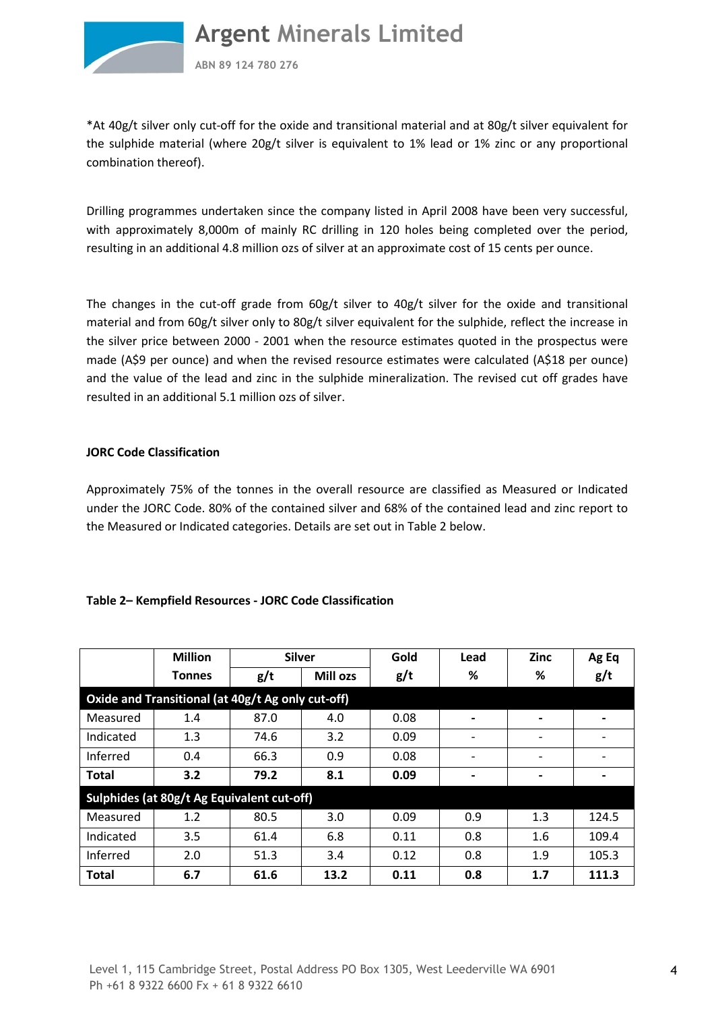

**ABN 89 124 780 276**

\*At 40g/t silver only cut-off for the oxide and transitional material and at 80g/t silver equivalent for the sulphide material (where 20g/t silver is equivalent to 1% lead or 1% zinc or any proportional combination thereof).

Drilling programmes undertaken since the company listed in April 2008 have been very successful, with approximately 8,000m of mainly RC drilling in 120 holes being completed over the period, resulting in an additional 4.8 million ozs of silver at an approximate cost of 15 cents per ounce.

The changes in the cut-off grade from 60g/t silver to 40g/t silver for the oxide and transitional material and from 60g/t silver only to 80g/t silver equivalent for the sulphide, reflect the increase in the silver price between 2000 - 2001 when the resource estimates quoted in the prospectus were made (A\$9 per ounce) and when the revised resource estimates were calculated (A\$18 per ounce) and the value of the lead and zinc in the sulphide mineralization. The revised cut off grades have resulted in an additional 5.1 million ozs of silver.

#### **JORC Code Classification**

Approximately 75% of the tonnes in the overall resource are classified as Measured or Indicated under the JORC Code. 80% of the contained silver and 68% of the contained lead and zinc report to the Measured or Indicated categories. Details are set out in Table 2 below.

#### **Table 2– Kempfield Resources - JORC Code Classification**

|                                                   | <b>Million</b>                             | <b>Silver</b> |                 | Gold | Lead                     | <b>Zinc</b>                  | Ag Eq                        |  |  |
|---------------------------------------------------|--------------------------------------------|---------------|-----------------|------|--------------------------|------------------------------|------------------------------|--|--|
|                                                   | Tonnes                                     | g/t           | <b>Mill ozs</b> | g/t  | ℅                        | %                            | g/t                          |  |  |
| Oxide and Transitional (at 40g/t Ag only cut-off) |                                            |               |                 |      |                          |                              |                              |  |  |
| Measured                                          | 1.4                                        | 87.0          | 4.0             | 0.08 | -                        | -                            | $\qquad \qquad \blacksquare$ |  |  |
| Indicated                                         | 1.3                                        | 74.6          | 3.2             | 0.09 |                          | $\qquad \qquad \blacksquare$ | $\qquad \qquad$              |  |  |
| Inferred                                          | 0.4                                        | 66.3          | 0.9             | 0.08 |                          | -                            | $\qquad \qquad$              |  |  |
| <b>Total</b>                                      | 3.2                                        | 79.2          | 8.1             | 0.09 | $\overline{\phantom{0}}$ | $\qquad \qquad \blacksquare$ | $\overline{\phantom{0}}$     |  |  |
|                                                   | Sulphides (at 80g/t Ag Equivalent cut-off) |               |                 |      |                          |                              |                              |  |  |
| Measured                                          | 1.2                                        | 80.5          | 3.0             | 0.09 | 0.9                      | 1.3                          | 124.5                        |  |  |
| Indicated                                         | 3.5                                        | 61.4          | 6.8             | 0.11 | 0.8                      | 1.6                          | 109.4                        |  |  |
| Inferred                                          | 2.0                                        | 51.3          | 3.4             | 0.12 | 0.8                      | 1.9                          | 105.3                        |  |  |
| <b>Total</b>                                      | 6.7                                        | 61.6          | 13.2            | 0.11 | 0.8                      | 1.7                          | 111.3                        |  |  |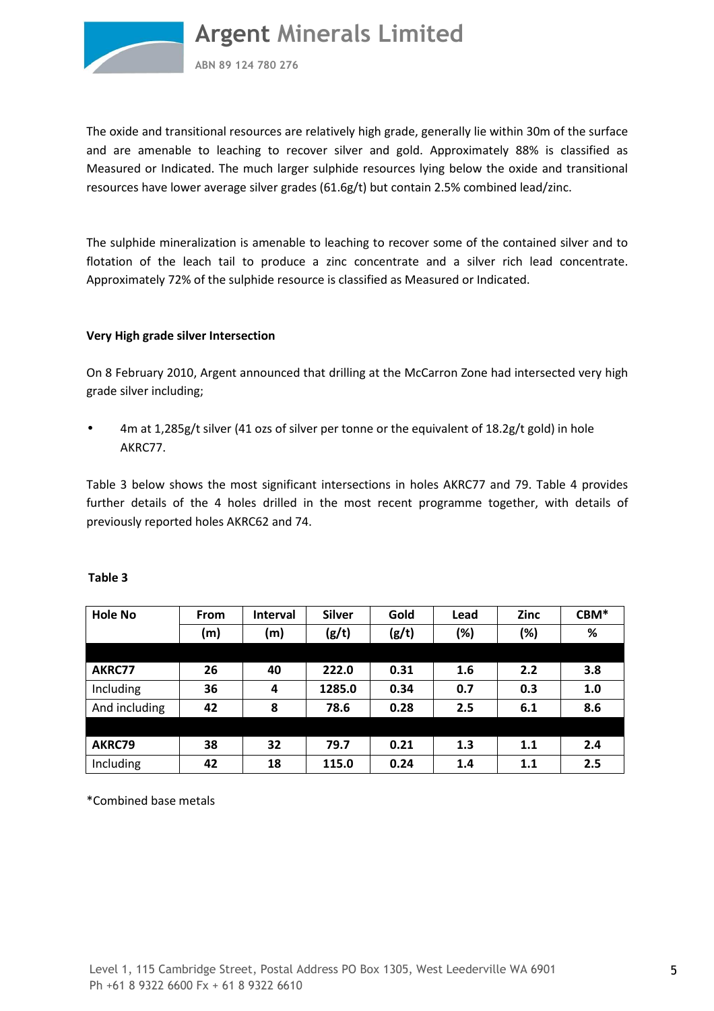

**ABN 89 124 780 276**

The oxide and transitional resources are relatively high grade, generally lie within 30m of the surface and are amenable to leaching to recover silver and gold. Approximately 88% is classified as Measured or Indicated. The much larger sulphide resources lying below the oxide and transitional resources have lower average silver grades (61.6g/t) but contain 2.5% combined lead/zinc.

The sulphide mineralization is amenable to leaching to recover some of the contained silver and to flotation of the leach tail to produce a zinc concentrate and a silver rich lead concentrate. Approximately 72% of the sulphide resource is classified as Measured or Indicated.

#### **Very High grade silver Intersection**

On 8 February 2010, Argent announced that drilling at the McCarron Zone had intersected very high grade silver including;

• 4m at 1,285g/t silver (41 ozs of silver per tonne or the equivalent of 18.2g/t gold) in hole AKRC77.

Table 3 below shows the most significant intersections in holes AKRC77 and 79. Table 4 provides further details of the 4 holes drilled in the most recent programme together, with details of previously reported holes AKRC62 and 74.

| <b>Hole No</b> | <b>From</b> | <b>Interval</b> | <b>Silver</b> | Gold  | Lead | <b>Zinc</b> | CBM* |
|----------------|-------------|-----------------|---------------|-------|------|-------------|------|
|                | (m)         | (m)             | (g/t)         | (g/t) | (%)  | (%)         | $\%$ |
|                |             |                 |               |       |      |             |      |
| AKRC77         | 26          | 40              | 222.0         | 0.31  | 1.6  | 2.2         | 3.8  |
| Including      | 36          | 4               | 1285.0        | 0.34  | 0.7  | 0.3         | 1.0  |
| And including  | 42          | 8               | 78.6          | 0.28  | 2.5  | 6.1         | 8.6  |
|                |             |                 |               |       |      |             |      |
| AKRC79         | 38          | 32              | 79.7          | 0.21  | 1.3  | 1.1         | 2.4  |
| Including      | 42          | 18              | 115.0         | 0.24  | 1.4  | 1.1         | 2.5  |

#### **Table 3**

\*Combined base metals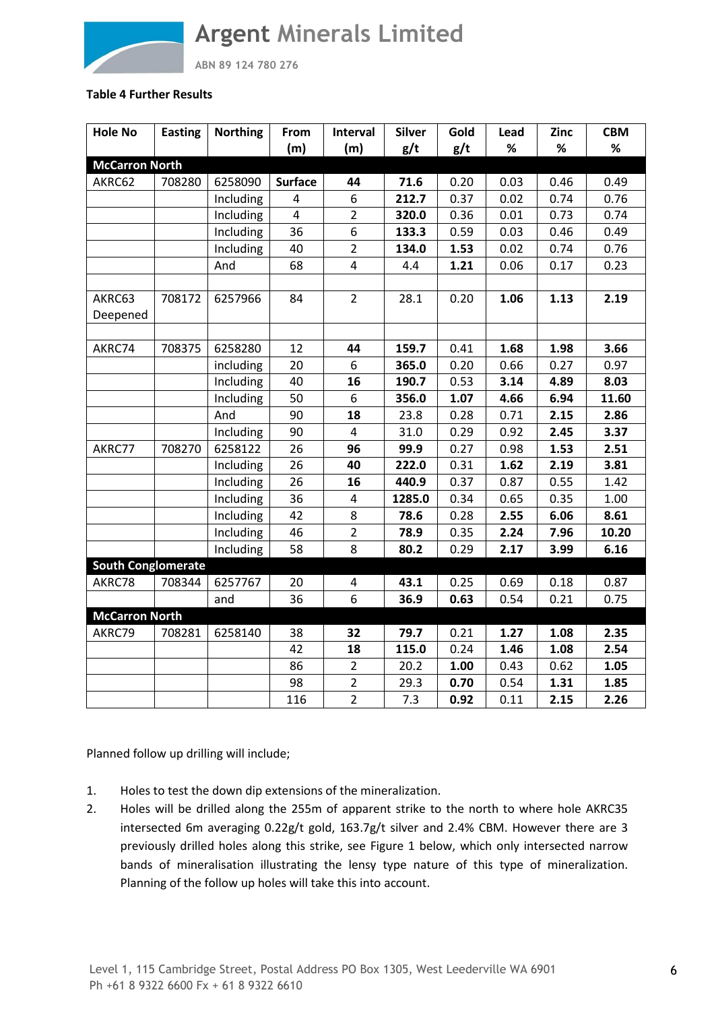

**ABN 89 124 780 276**

#### **Table 4 Further Results**

| <b>Hole No</b>            | <b>Easting</b> | <b>Northing</b> | From                    | Interval       | <b>Silver</b> | Gold | Lead | Zinc | <b>CBM</b> |
|---------------------------|----------------|-----------------|-------------------------|----------------|---------------|------|------|------|------------|
|                           |                |                 | (m)                     | (m)            | g/t           | g/t  | %    | %    | %          |
| <b>McCarron North</b>     |                |                 |                         |                |               |      |      |      |            |
| AKRC62                    | 708280         | 6258090         | <b>Surface</b>          | 44             | 71.6          | 0.20 | 0.03 | 0.46 | 0.49       |
|                           |                | Including       | 4                       | 6              | 212.7         | 0.37 | 0.02 | 0.74 | 0.76       |
|                           |                | Including       | $\overline{\mathbf{4}}$ | $\overline{2}$ | 320.0         | 0.36 | 0.01 | 0.73 | 0.74       |
|                           |                | Including       | 36                      | 6              | 133.3         | 0.59 | 0.03 | 0.46 | 0.49       |
|                           |                | Including       | 40                      | $\overline{2}$ | 134.0         | 1.53 | 0.02 | 0.74 | 0.76       |
|                           |                | And             | 68                      | 4              | 4.4           | 1.21 | 0.06 | 0.17 | 0.23       |
|                           |                |                 |                         |                |               |      |      |      |            |
| AKRC63<br>Deepened        | 708172         | 6257966         | 84                      | $\overline{2}$ | 28.1          | 0.20 | 1.06 | 1.13 | 2.19       |
|                           |                |                 |                         |                |               |      |      |      |            |
| AKRC74                    | 708375         | 6258280         | 12                      | 44             | 159.7         | 0.41 | 1.68 | 1.98 | 3.66       |
|                           |                | including       | 20                      | 6              | 365.0         | 0.20 | 0.66 | 0.27 | 0.97       |
|                           |                | Including       | 40                      | 16             | 190.7         | 0.53 | 3.14 | 4.89 | 8.03       |
|                           |                | Including       | 50                      | 6              | 356.0         | 1.07 | 4.66 | 6.94 | 11.60      |
|                           |                | And             | 90                      | 18             | 23.8          | 0.28 | 0.71 | 2.15 | 2.86       |
|                           |                | Including       | 90                      | $\overline{4}$ | 31.0          | 0.29 | 0.92 | 2.45 | 3.37       |
| AKRC77                    | 708270         | 6258122         | 26                      | 96             | 99.9          | 0.27 | 0.98 | 1.53 | 2.51       |
|                           |                | Including       | 26                      | 40             | 222.0         | 0.31 | 1.62 | 2.19 | 3.81       |
|                           |                | Including       | 26                      | 16             | 440.9         | 0.37 | 0.87 | 0.55 | 1.42       |
|                           |                | Including       | 36                      | $\pmb{4}$      | 1285.0        | 0.34 | 0.65 | 0.35 | 1.00       |
|                           |                | Including       | 42                      | 8              | 78.6          | 0.28 | 2.55 | 6.06 | 8.61       |
|                           |                | Including       | 46                      | $\overline{2}$ | 78.9          | 0.35 | 2.24 | 7.96 | 10.20      |
|                           |                | Including       | 58                      | 8              | 80.2          | 0.29 | 2.17 | 3.99 | 6.16       |
| <b>South Conglomerate</b> |                |                 |                         |                |               |      |      |      |            |
| AKRC78                    | 708344         | 6257767         | 20                      | 4              | 43.1          | 0.25 | 0.69 | 0.18 | 0.87       |
|                           |                | and             | 36                      | 6              | 36.9          | 0.63 | 0.54 | 0.21 | 0.75       |
| <b>McCarron North</b>     |                |                 |                         |                |               |      |      |      |            |
| AKRC79                    | 708281         | 6258140         | 38                      | 32             | 79.7          | 0.21 | 1.27 | 1.08 | 2.35       |
|                           |                |                 | 42                      | 18             | 115.0         | 0.24 | 1.46 | 1.08 | 2.54       |
|                           |                |                 | 86                      | $\overline{2}$ | 20.2          | 1.00 | 0.43 | 0.62 | 1.05       |
|                           |                |                 | 98                      | $\overline{2}$ | 29.3          | 0.70 | 0.54 | 1.31 | 1.85       |
|                           |                |                 | 116                     | $\overline{2}$ | 7.3           | 0.92 | 0.11 | 2.15 | 2.26       |

Planned follow up drilling will include;

- 1. Holes to test the down dip extensions of the mineralization.
- 2. Holes will be drilled along the 255m of apparent strike to the north to where hole AKRC35 intersected 6m averaging 0.22g/t gold, 163.7g/t silver and 2.4% CBM. However there are 3 previously drilled holes along this strike, see Figure 1 below, which only intersected narrow bands of mineralisation illustrating the lensy type nature of this type of mineralization. Planning of the follow up holes will take this into account.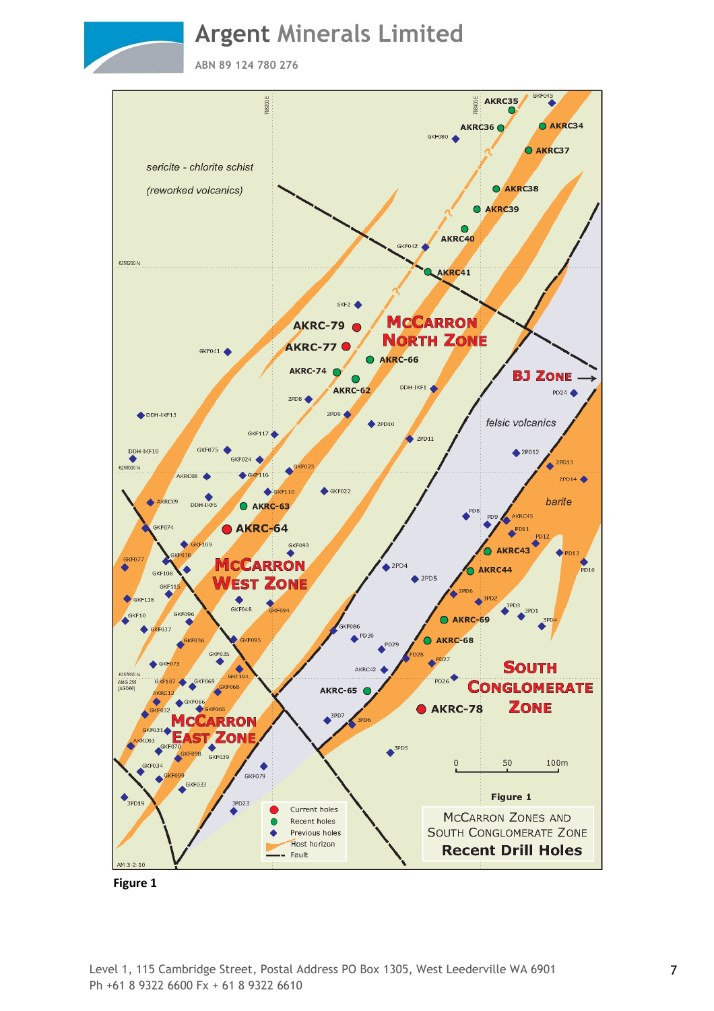**ABN 89 124 780 276**



 **Figure 1**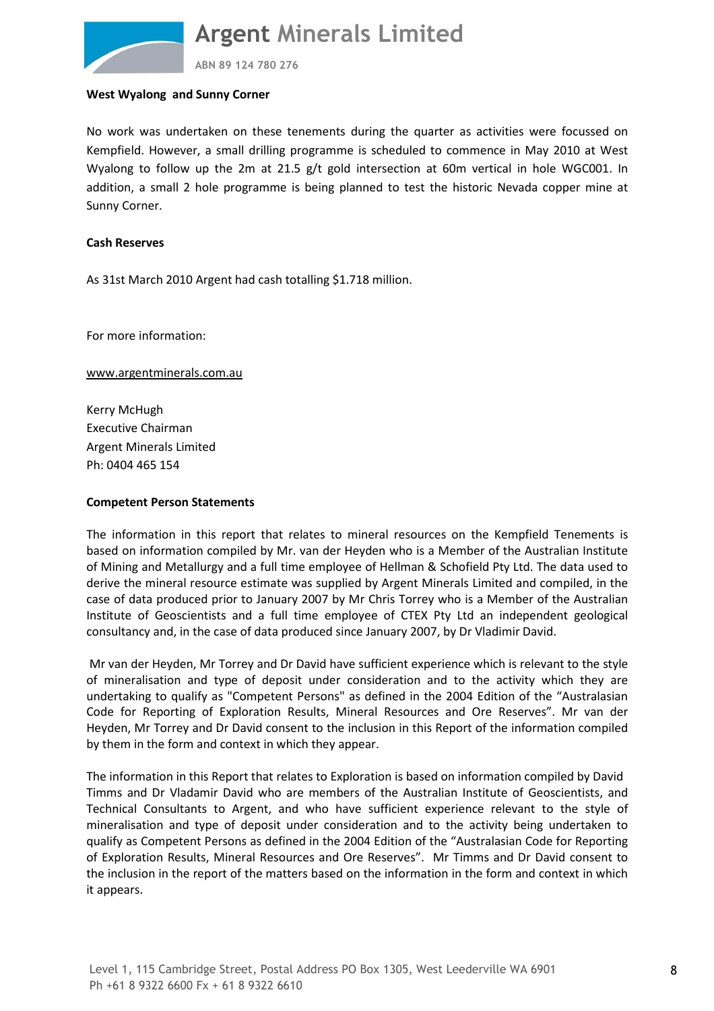

**ABN 89 124 780 276**

#### **West Wyalong and Sunny Corner**

No work was undertaken on these tenements during the quarter as activities were focussed on Kempfield. However, a small drilling programme is scheduled to commence in May 2010 at West Wyalong to follow up the 2m at 21.5 g/t gold intersection at 60m vertical in hole WGC001. In addition, a small 2 hole programme is being planned to test the historic Nevada copper mine at Sunny Corner.

#### **Cash Reserves**

As 31st March 2010 Argent had cash totalling \$1.718 million.

For more information:

www.argentminerals.com.au

Kerry McHugh Executive Chairman Argent Minerals Limited Ph: 0404 465 154

#### **Competent Person Statements**

The information in this report that relates to mineral resources on the Kempfield Tenements is based on information compiled by Mr. van der Heyden who is a Member of the Australian Institute of Mining and Metallurgy and a full time employee of Hellman & Schofield Pty Ltd. The data used to derive the mineral resource estimate was supplied by Argent Minerals Limited and compiled, in the case of data produced prior to January 2007 by Mr Chris Torrey who is a Member of the Australian Institute of Geoscientists and a full time employee of CTEX Pty Ltd an independent geological consultancy and, in the case of data produced since January 2007, by Dr Vladimir David.

 Mr van der Heyden, Mr Torrey and Dr David have sufficient experience which is relevant to the style of mineralisation and type of deposit under consideration and to the activity which they are undertaking to qualify as "Competent Persons" as defined in the 2004 Edition of the "Australasian Code for Reporting of Exploration Results, Mineral Resources and Ore Reserves". Mr van der Heyden, Mr Torrey and Dr David consent to the inclusion in this Report of the information compiled by them in the form and context in which they appear.

The information in this Report that relates to Exploration is based on information compiled by David Timms and Dr Vladamir David who are members of the Australian Institute of Geoscientists, and Technical Consultants to Argent, and who have sufficient experience relevant to the style of mineralisation and type of deposit under consideration and to the activity being undertaken to qualify as Competent Persons as defined in the 2004 Edition of the "Australasian Code for Reporting of Exploration Results, Mineral Resources and Ore Reserves". Mr Timms and Dr David consent to the inclusion in the report of the matters based on the information in the form and context in which it appears.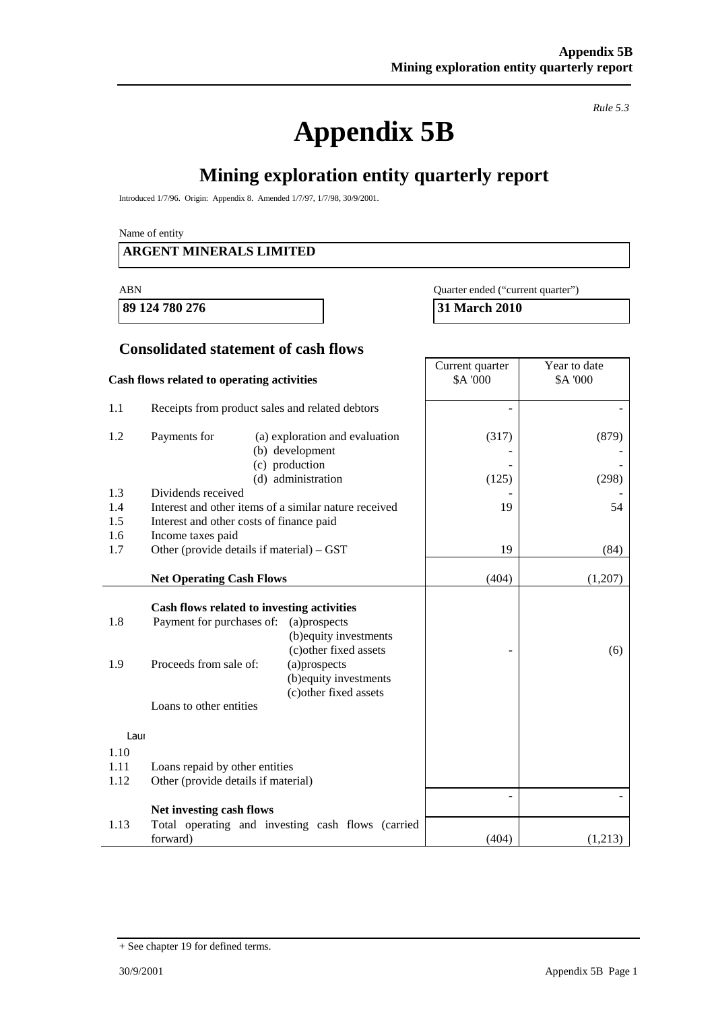# **Appendix 5B**

*Rule 5.3* 

## **Mining exploration entity quarterly report**

Introduced 1/7/96. Origin: Appendix 8. Amended 1/7/97, 1/7/98, 30/9/2001.

Name of entity

#### **ARGENT MINERALS LIMITED**

**89 124 780 276 31 March 2010** 

ABN Quarter ended ("current quarter")

#### **Consolidated statement of cash flows**

|                            | Cash flows related to operating activities                                                                                                   | Current quarter<br><b>\$A '000</b>                                                                                                   | Year to date<br>\$A '000 |         |
|----------------------------|----------------------------------------------------------------------------------------------------------------------------------------------|--------------------------------------------------------------------------------------------------------------------------------------|--------------------------|---------|
| 1.1                        | Receipts from product sales and related debtors                                                                                              |                                                                                                                                      |                          |         |
| 1.2                        | Payments for                                                                                                                                 | (a) exploration and evaluation<br>(b) development<br>(c) production                                                                  | (317)                    | (879)   |
|                            |                                                                                                                                              | (d) administration                                                                                                                   | (125)                    | (298)   |
| 1.3<br>1.4<br>1.5<br>1.6   | Dividends received<br>Interest and other items of a similar nature received<br>Interest and other costs of finance paid<br>Income taxes paid |                                                                                                                                      | 19                       | 54      |
| 1.7                        | Other (provide details if material) – GST                                                                                                    |                                                                                                                                      | 19                       | (84)    |
|                            | <b>Net Operating Cash Flows</b>                                                                                                              |                                                                                                                                      | (404)                    | (1,207) |
| 1.8<br>1.9<br>Laur<br>1.10 | Cash flows related to investing activities<br>Payment for purchases of:<br>Proceeds from sale of:<br>Loans to other entities                 | (a)prospects<br>(b) equity investments<br>(c) other fixed assets<br>(a)prospects<br>(b) equity investments<br>(c) other fixed assets |                          | (6)     |
| 1.11                       | Loans repaid by other entities                                                                                                               |                                                                                                                                      |                          |         |
| 1.12                       | Other (provide details if material)                                                                                                          |                                                                                                                                      |                          |         |
|                            | Net investing cash flows                                                                                                                     |                                                                                                                                      |                          |         |
| 1.13                       | forward)                                                                                                                                     | Total operating and investing cash flows (carried                                                                                    | (404)                    | (1,213) |

<sup>+</sup> See chapter 19 for defined terms.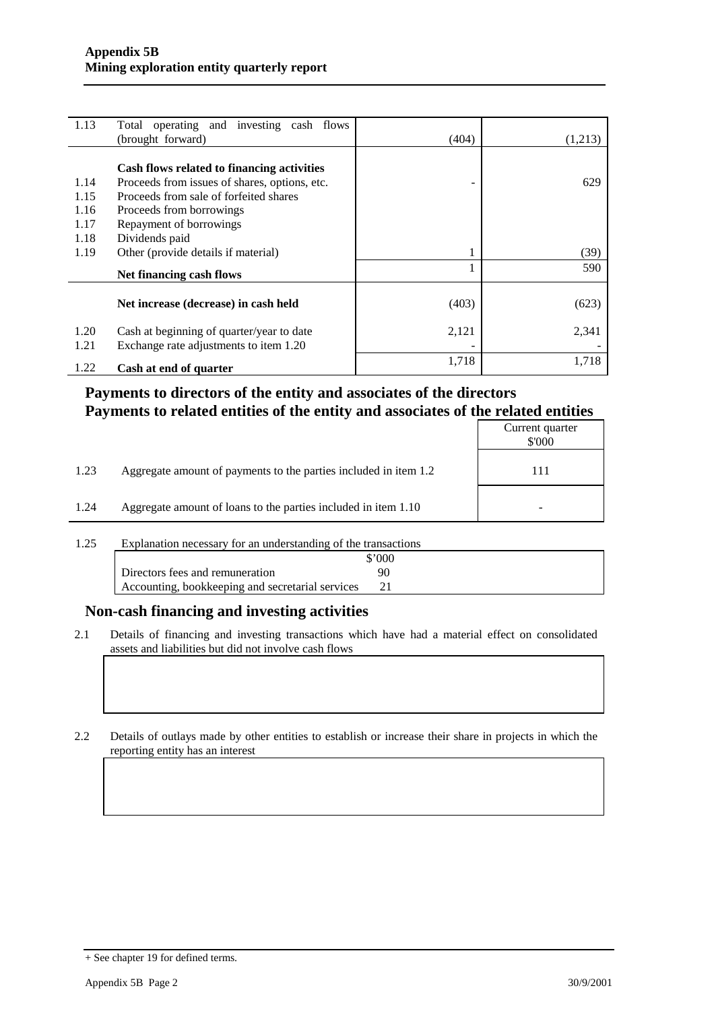| 1.13 | Total operating and investing cash flows      |       |         |
|------|-----------------------------------------------|-------|---------|
|      | (brought forward)                             | (404) | (1,213) |
|      |                                               |       |         |
|      | Cash flows related to financing activities    |       |         |
| 1.14 | Proceeds from issues of shares, options, etc. |       | 629     |
| 1.15 | Proceeds from sale of forfeited shares        |       |         |
| 1.16 | Proceeds from borrowings                      |       |         |
| 1.17 | Repayment of borrowings                       |       |         |
| 1.18 | Dividends paid                                |       |         |
| 1.19 | Other (provide details if material)           |       | (39)    |
|      | Net financing cash flows                      |       | 590     |
|      |                                               |       |         |
|      | Net increase (decrease) in cash held          | (403) | (623)   |
| 1.20 | Cash at beginning of quarter/year to date     | 2,121 | 2,341   |
| 1.21 | Exchange rate adjustments to item 1.20        |       |         |
| 1.22 | Cash at end of quarter                        | 1,718 | 1,718   |

#### **Payments to directors of the entity and associates of the directors Payments to related entities of the entity and associates of the related entities**

|                                                                          | Current quarter<br>\$'000 |
|--------------------------------------------------------------------------|---------------------------|
| 1.23<br>Aggregate amount of payments to the parties included in item 1.2 | 111                       |
| 1.24<br>Aggregate amount of loans to the parties included in item 1.10   |                           |

1.25 Explanation necessary for an understanding of the transactions

|                                                  | \$'000 |
|--------------------------------------------------|--------|
| Directors fees and remuneration                  | 90     |
| Accounting, bookkeeping and secretarial services |        |

#### **Non-cash financing and investing activities**

2.1 Details of financing and investing transactions which have had a material effect on consolidated assets and liabilities but did not involve cash flows

2.2 Details of outlays made by other entities to establish or increase their share in projects in which the reporting entity has an interest

<sup>+</sup> See chapter 19 for defined terms.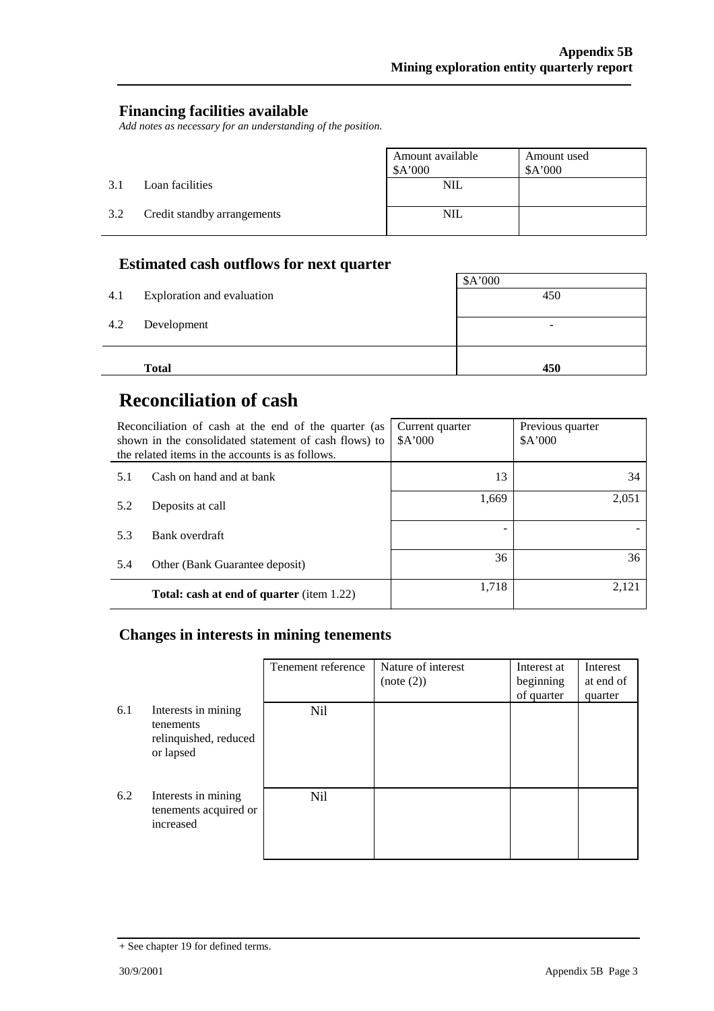#### **Financing facilities available**

*Add notes as necessary for an understanding of the position.* 

|     |                             | Amount available<br>\$A'000 | Amount used<br>A'000 |
|-----|-----------------------------|-----------------------------|----------------------|
| 3.1 | Loan facilities             | $\rm NIL$                   |                      |
| 3.2 | Credit standby arrangements | <b>NIL</b>                  |                      |

## **Estimated cash outflows for next quarter**

| 4.1 | Exploration and evaluation | \$A'000<br>450           |
|-----|----------------------------|--------------------------|
|     |                            |                          |
| 4.2 | Development                | $\overline{\phantom{0}}$ |
|     |                            |                          |
|     | <b>Total</b>               | 450                      |

## **Reconciliation of cash**

|     | Reconciliation of cash at the end of the quarter (as<br>shown in the consolidated statement of cash flows) to<br>the related items in the accounts is as follows. | Current quarter<br>\$A'000 | Previous quarter<br>A'000 |
|-----|-------------------------------------------------------------------------------------------------------------------------------------------------------------------|----------------------------|---------------------------|
| 5.1 | Cash on hand and at bank                                                                                                                                          | 13                         | 34                        |
| 5.2 | Deposits at call                                                                                                                                                  | 1,669                      | 2,051                     |
| 5.3 | Bank overdraft                                                                                                                                                    |                            |                           |
| 5.4 | Other (Bank Guarantee deposit)                                                                                                                                    | 36                         | 36                        |
|     | <b>Total: cash at end of quarter</b> (item 1.22)                                                                                                                  | 1,718                      | 2,121                     |

#### **Changes in interests in mining tenements**

|     |                                                                        | Tenement reference | Nature of interest<br>(note (2)) | Interest at<br>beginning<br>of quarter | Interest<br>at end of<br>quarter |
|-----|------------------------------------------------------------------------|--------------------|----------------------------------|----------------------------------------|----------------------------------|
| 6.1 | Interests in mining<br>tenements<br>relinquished, reduced<br>or lapsed | Nil                |                                  |                                        |                                  |
| 6.2 | Interests in mining<br>tenements acquired or<br>increased              | <b>Nil</b>         |                                  |                                        |                                  |

<sup>+</sup> See chapter 19 for defined terms.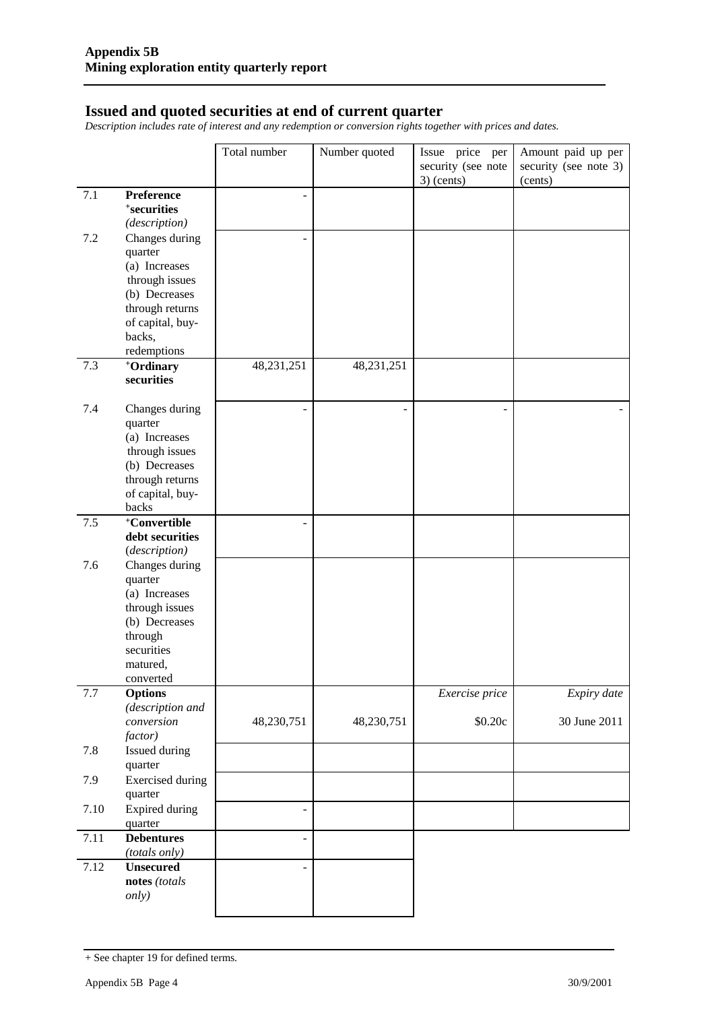#### **Issued and quoted securities at end of current quarter**

*Description includes rate of interest and any redemption or conversion rights together with prices and dates.* 

|         |                                          | Total number   | Number quoted | Issue price per<br>security (see note | Amount paid up per<br>security (see note 3) |
|---------|------------------------------------------|----------------|---------------|---------------------------------------|---------------------------------------------|
|         |                                          |                |               | $3)$ (cents)                          | (cents)                                     |
| 7.1     | Preference                               | $\overline{a}$ |               |                                       |                                             |
|         | <sup>+</sup> securities<br>(description) |                |               |                                       |                                             |
| 7.2     | Changes during                           |                |               |                                       |                                             |
|         | quarter                                  |                |               |                                       |                                             |
|         | (a) Increases                            |                |               |                                       |                                             |
|         | through issues                           |                |               |                                       |                                             |
|         | (b) Decreases                            |                |               |                                       |                                             |
|         | through returns<br>of capital, buy-      |                |               |                                       |                                             |
|         | backs,                                   |                |               |                                       |                                             |
|         | redemptions                              |                |               |                                       |                                             |
| 7.3     | +Ordinary                                | 48,231,251     | 48,231,251    |                                       |                                             |
|         | securities                               |                |               |                                       |                                             |
| 7.4     | Changes during                           |                | ÷,            |                                       |                                             |
|         | quarter                                  |                |               |                                       |                                             |
|         | (a) Increases                            |                |               |                                       |                                             |
|         | through issues                           |                |               |                                       |                                             |
|         | (b) Decreases<br>through returns         |                |               |                                       |                                             |
|         | of capital, buy-                         |                |               |                                       |                                             |
|         | backs                                    |                |               |                                       |                                             |
| 7.5     | +Convertible                             |                |               |                                       |                                             |
|         | debt securities                          |                |               |                                       |                                             |
|         | (description)                            |                |               |                                       |                                             |
| 7.6     | Changes during<br>quarter                |                |               |                                       |                                             |
|         | (a) Increases                            |                |               |                                       |                                             |
|         | through issues                           |                |               |                                       |                                             |
|         | (b) Decreases                            |                |               |                                       |                                             |
|         | through                                  |                |               |                                       |                                             |
|         | securities                               |                |               |                                       |                                             |
|         | matured,                                 |                |               |                                       |                                             |
| $7.7\,$ | converted<br><b>Options</b>              |                |               | Exercise price                        | Expiry date                                 |
|         | (description and                         |                |               |                                       |                                             |
|         | conversion                               | 48,230,751     | 48,230,751    | \$0.20c                               | 30 June 2011                                |
|         | factor)                                  |                |               |                                       |                                             |
| 7.8     | Issued during                            |                |               |                                       |                                             |
| 7.9     | quarter                                  |                |               |                                       |                                             |
|         | <b>Exercised</b> during<br>quarter       |                |               |                                       |                                             |
| 7.10    | <b>Expired during</b>                    | $\blacksquare$ |               |                                       |                                             |
|         | quarter                                  |                |               |                                       |                                             |
| 7.11    | <b>Debentures</b>                        | ÷.             |               |                                       |                                             |
| 7.12    | (totals only)<br><b>Unsecured</b>        | ÷.             |               |                                       |                                             |
|         | notes (totals                            |                |               |                                       |                                             |
|         | <i>only</i> )                            |                |               |                                       |                                             |
|         |                                          |                |               |                                       |                                             |

<sup>+</sup> See chapter 19 for defined terms.